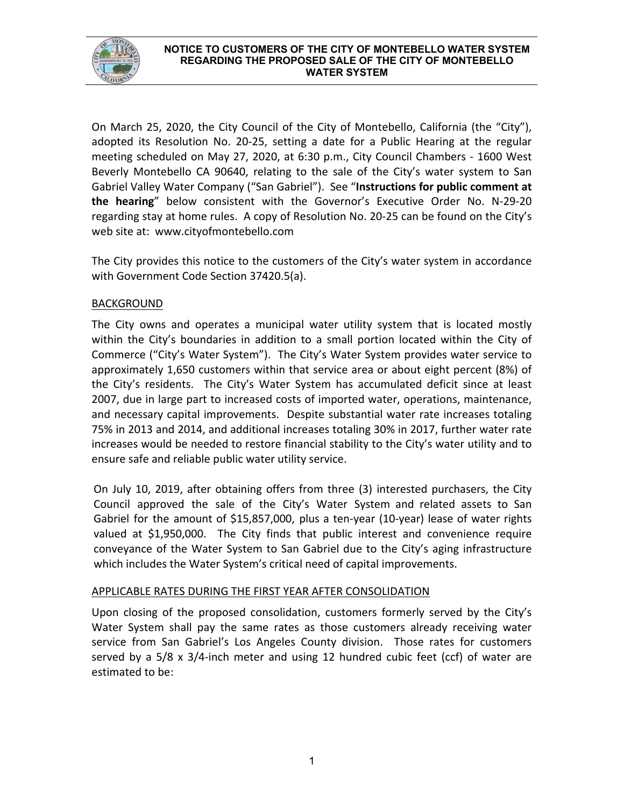

#### **NOTICE TO CUSTOMERS OF THE CITY OF MONTEBELLO WATER SYSTEM REGARDING THE PROPOSED SALE OF THE CITY OF MONTEBELLO WATER SYSTEM**

On March 25, 2020, the City Council of the City of Montebello, California (the "City"), adopted its Resolution No. 20-25, setting a date for a Public Hearing at the regular meeting scheduled on May 27, 2020, at 6:30 p.m., City Council Chambers - 1600 West Beverly Montebello CA 90640, relating to the sale of the City's water system to San Gabriel Valley Water Company ("San Gabriel"). See "**Instructions for public comment at the hearing**" below consistent with the Governor's Executive Order No. N-29-20 regarding stay at home rules. A copy of Resolution No. 20-25 can be found on the City's web site at: www.cityofmontebello.com

The City provides this notice to the customers of the City's water system in accordance with Government Code Section 37420.5(a).

# **BACKGROUND**

The City owns and operates a municipal water utility system that is located mostly within the City's boundaries in addition to a small portion located within the City of Commerce ("City's Water System"). The City's Water System provides water service to approximately 1,650 customers within that service area or about eight percent (8%) of the City's residents. The City's Water System has accumulated deficit since at least 2007, due in large part to increased costs of imported water, operations, maintenance, and necessary capital improvements. Despite substantial water rate increases totaling 75% in 2013 and 2014, and additional increases totaling 30% in 2017, further water rate increases would be needed to restore financial stability to the City's water utility and to ensure safe and reliable public water utility service.

On July 10, 2019, after obtaining offers from three (3) interested purchasers, the City Council approved the sale of the City's Water System and related assets to San Gabriel for the amount of \$15,857,000, plus a ten-year (10-year) lease of water rights valued at \$1,950,000. The City finds that public interest and convenience require conveyance of the Water System to San Gabriel due to the City's aging infrastructure which includes the Water System's critical need of capital improvements.

# APPLICABLE RATES DURING THE FIRST YEAR AFTER CONSOLIDATION

Upon closing of the proposed consolidation, customers formerly served by the City's Water System shall pay the same rates as those customers already receiving water service from San Gabriel's Los Angeles County division. Those rates for customers served by a 5/8 x 3/4-inch meter and using 12 hundred cubic feet (ccf) of water are estimated to be: